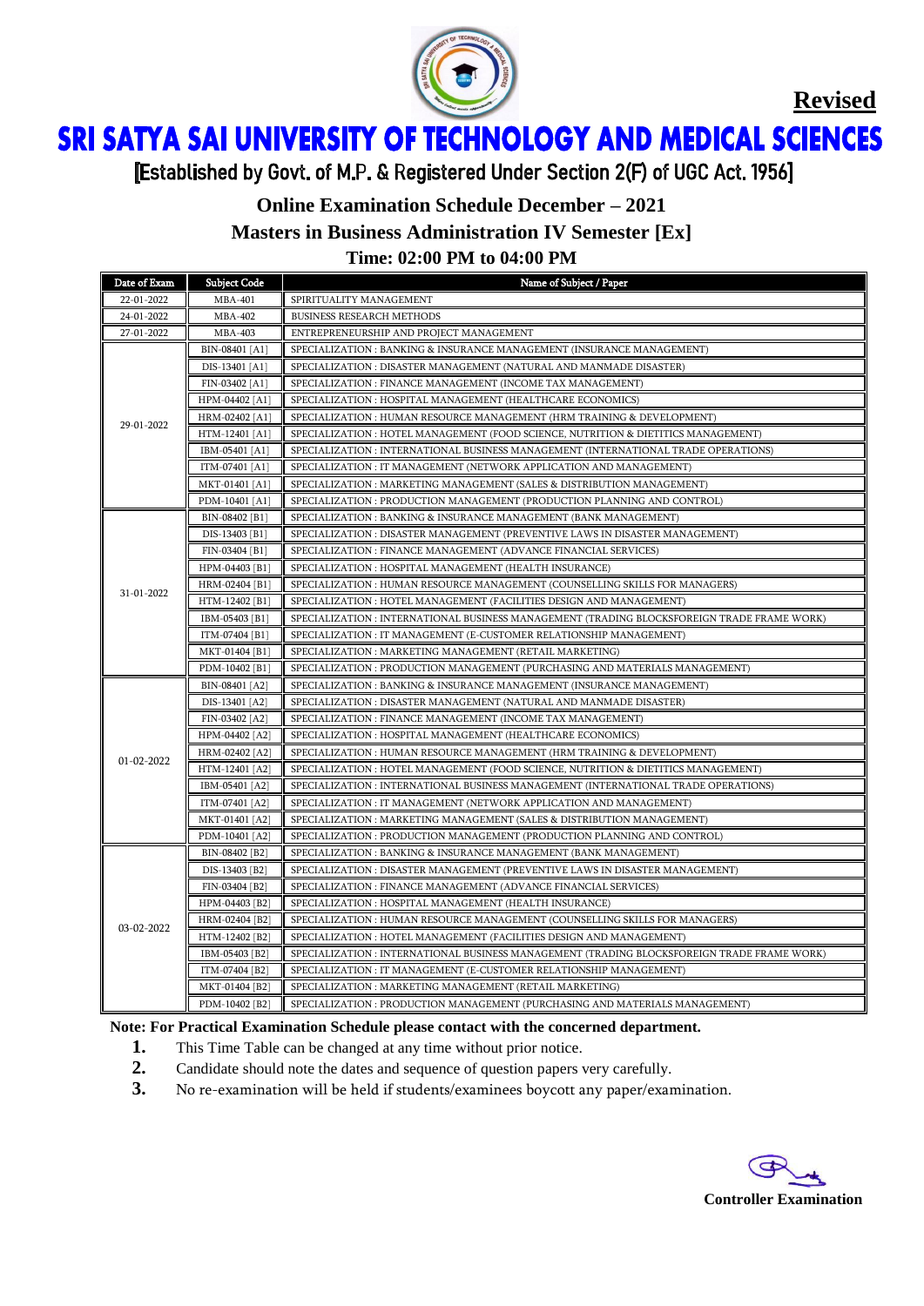

**Revised**

ì Ï

[Established by Govt. of M.P. & Registered Under Section 2(F) of UGC Act. 1956]

### **Online Examination Schedule December – 2021**

**Masters in Business Administration IV Semester [Ex]**

**Time: 02:00 PM to 04:00 PM**

| Date of Exam | <b>Subject Code</b> | Name of Subject / Paper                                                                     |  |  |
|--------------|---------------------|---------------------------------------------------------------------------------------------|--|--|
| 22-01-2022   | <b>MBA-401</b>      | SPIRITUALITY MANAGEMENT                                                                     |  |  |
| 24-01-2022   | <b>MBA-402</b>      | <b>BUSINESS RESEARCH METHODS</b>                                                            |  |  |
| 27-01-2022   | <b>MBA-403</b>      | ENTREPRENEURSHIP AND PROJECT MANAGEMENT                                                     |  |  |
|              | BIN-08401 [A1]      | SPECIALIZATION : BANKING & INSURANCE MANAGEMENT (INSURANCE MANAGEMENT)                      |  |  |
| 29-01-2022   | DIS-13401 [A1]      | SPECIALIZATION : DISASTER MANAGEMENT (NATURAL AND MANMADE DISASTER)                         |  |  |
|              | FIN-03402 [A1]      | SPECIALIZATION : FINANCE MANAGEMENT (INCOME TAX MANAGEMENT)                                 |  |  |
|              | HPM-04402 [A1]      | SPECIALIZATION : HOSPITAL MANAGEMENT (HEALTHCARE ECONOMICS)                                 |  |  |
|              | HRM-02402 [A1]      | SPECIALIZATION : HUMAN RESOURCE MANAGEMENT (HRM TRAINING & DEVELOPMENT)                     |  |  |
|              | HTM-12401 [A1]      | SPECIALIZATION : HOTEL MANAGEMENT (FOOD SCIENCE, NUTRITION & DIETITICS MANAGEMENT)          |  |  |
|              | IBM-05401 [A1]      | SPECIALIZATION : INTERNATIONAL BUSINESS MANAGEMENT (INTERNATIONAL TRADE OPERATIONS)         |  |  |
|              | ITM-07401 [A1]      | SPECIALIZATION : IT MANAGEMENT (NETWORK APPLICATION AND MANAGEMENT)                         |  |  |
|              | MKT-01401 [A1]      | SPECIALIZATION : MARKETING MANAGEMENT (SALES & DISTRIBUTION MANAGEMENT)                     |  |  |
|              | PDM-10401 [A1]      | SPECIALIZATION : PRODUCTION MANAGEMENT (PRODUCTION PLANNING AND CONTROL)                    |  |  |
|              | BIN-08402 [B1]      | SPECIALIZATION : BANKING & INSURANCE MANAGEMENT (BANK MANAGEMENT)                           |  |  |
|              | DIS-13403 [B1]      | SPECIALIZATION : DISASTER MANAGEMENT (PREVENTIVE LAWS IN DISASTER MANAGEMENT)               |  |  |
|              | FIN-03404 [B1]      | SPECIALIZATION : FINANCE MANAGEMENT (ADVANCE FINANCIAL SERVICES)                            |  |  |
|              | HPM-04403 [B1]      | SPECIALIZATION : HOSPITAL MANAGEMENT (HEALTH INSURANCE)                                     |  |  |
| 31-01-2022   | HRM-02404 [B1]      | SPECIALIZATION : HUMAN RESOURCE MANAGEMENT (COUNSELLING SKILLS FOR MANAGERS)                |  |  |
|              | HTM-12402 [B1]      | SPECIALIZATION : HOTEL MANAGEMENT (FACILITIES DESIGN AND MANAGEMENT)                        |  |  |
|              | IBM-05403 [B1]      | SPECIALIZATION : INTERNATIONAL BUSINESS MANAGEMENT (TRADING BLOCKSFOREIGN TRADE FRAME WORK) |  |  |
|              | ITM-07404 [B1]      | SPECIALIZATION : IT MANAGEMENT (E-CUSTOMER RELATIONSHIP MANAGEMENT)                         |  |  |
|              | MKT-01404 [B1]      | SPECIALIZATION: MARKETING MANAGEMENT (RETAIL MARKETING)                                     |  |  |
|              | PDM-10402 [B1]      | SPECIALIZATION : PRODUCTION MANAGEMENT (PURCHASING AND MATERIALS MANAGEMENT)                |  |  |
|              | BIN-08401 [A2]      | SPECIALIZATION : BANKING & INSURANCE MANAGEMENT (INSURANCE MANAGEMENT)                      |  |  |
|              | DIS-13401 [A2]      | SPECIALIZATION : DISASTER MANAGEMENT (NATURAL AND MANMADE DISASTER)                         |  |  |
|              | FIN-03402 [A2]      | SPECIALIZATION : FINANCE MANAGEMENT (INCOME TAX MANAGEMENT)                                 |  |  |
|              | HPM-04402 [A2]      | SPECIALIZATION : HOSPITAL MANAGEMENT (HEALTHCARE ECONOMICS)                                 |  |  |
|              | HRM-02402 [A2]      | SPECIALIZATION : HUMAN RESOURCE MANAGEMENT (HRM TRAINING & DEVELOPMENT)                     |  |  |
| 01-02-2022   | HTM-12401 [A2]      | SPECIALIZATION : HOTEL MANAGEMENT (FOOD SCIENCE, NUTRITION & DIETITICS MANAGEMENT)          |  |  |
|              | IBM-05401 [A2]      | SPECIALIZATION : INTERNATIONAL BUSINESS MANAGEMENT (INTERNATIONAL TRADE OPERATIONS)         |  |  |
|              | ITM-07401 [A2]      | SPECIALIZATION : IT MANAGEMENT (NETWORK APPLICATION AND MANAGEMENT)                         |  |  |
|              | MKT-01401 [A2]      | SPECIALIZATION : MARKETING MANAGEMENT (SALES & DISTRIBUTION MANAGEMENT)                     |  |  |
|              | PDM-10401 [A2]      | SPECIALIZATION : PRODUCTION MANAGEMENT (PRODUCTION PLANNING AND CONTROL)                    |  |  |
|              | BIN-08402 [B2]      | SPECIALIZATION : BANKING & INSURANCE MANAGEMENT (BANK MANAGEMENT)                           |  |  |
|              | DIS-13403 [B2]      | SPECIALIZATION : DISASTER MANAGEMENT (PREVENTIVE LAWS IN DISASTER MANAGEMENT)               |  |  |
|              | FIN-03404 [B2]      | SPECIALIZATION : FINANCE MANAGEMENT (ADVANCE FINANCIAL SERVICES)                            |  |  |
| 03-02-2022   | HPM-04403 [B2]      | SPECIALIZATION : HOSPITAL MANAGEMENT (HEALTH INSURANCE)                                     |  |  |
|              | HRM-02404 [B2]      | SPECIALIZATION : HUMAN RESOURCE MANAGEMENT (COUNSELLING SKILLS FOR MANAGERS)                |  |  |
|              | HTM-12402 [B2]      | SPECIALIZATION : HOTEL MANAGEMENT (FACILITIES DESIGN AND MANAGEMENT)                        |  |  |
|              | IBM-05403 [B2]      | SPECIALIZATION : INTERNATIONAL BUSINESS MANAGEMENT (TRADING BLOCKSFOREIGN TRADE FRAME WORK) |  |  |
|              | ITM-07404 [B2]      | SPECIALIZATION : IT MANAGEMENT (E-CUSTOMER RELATIONSHIP MANAGEMENT)                         |  |  |
|              | MKT-01404 [B2]      | SPECIALIZATION: MARKETING MANAGEMENT (RETAIL MARKETING)                                     |  |  |
|              | PDM-10402 [B2]      | SPECIALIZATION : PRODUCTION MANAGEMENT (PURCHASING AND MATERIALS MANAGEMENT)                |  |  |

#### **Note: For Practical Examination Schedule please contact with the concerned department.**

- **1.** This Time Table can be changed at any time without prior notice.
- **2.** Candidate should note the dates and sequence of question papers very carefully.
- **3.** No re-examination will be held if students/examinees boycott any paper/examination.

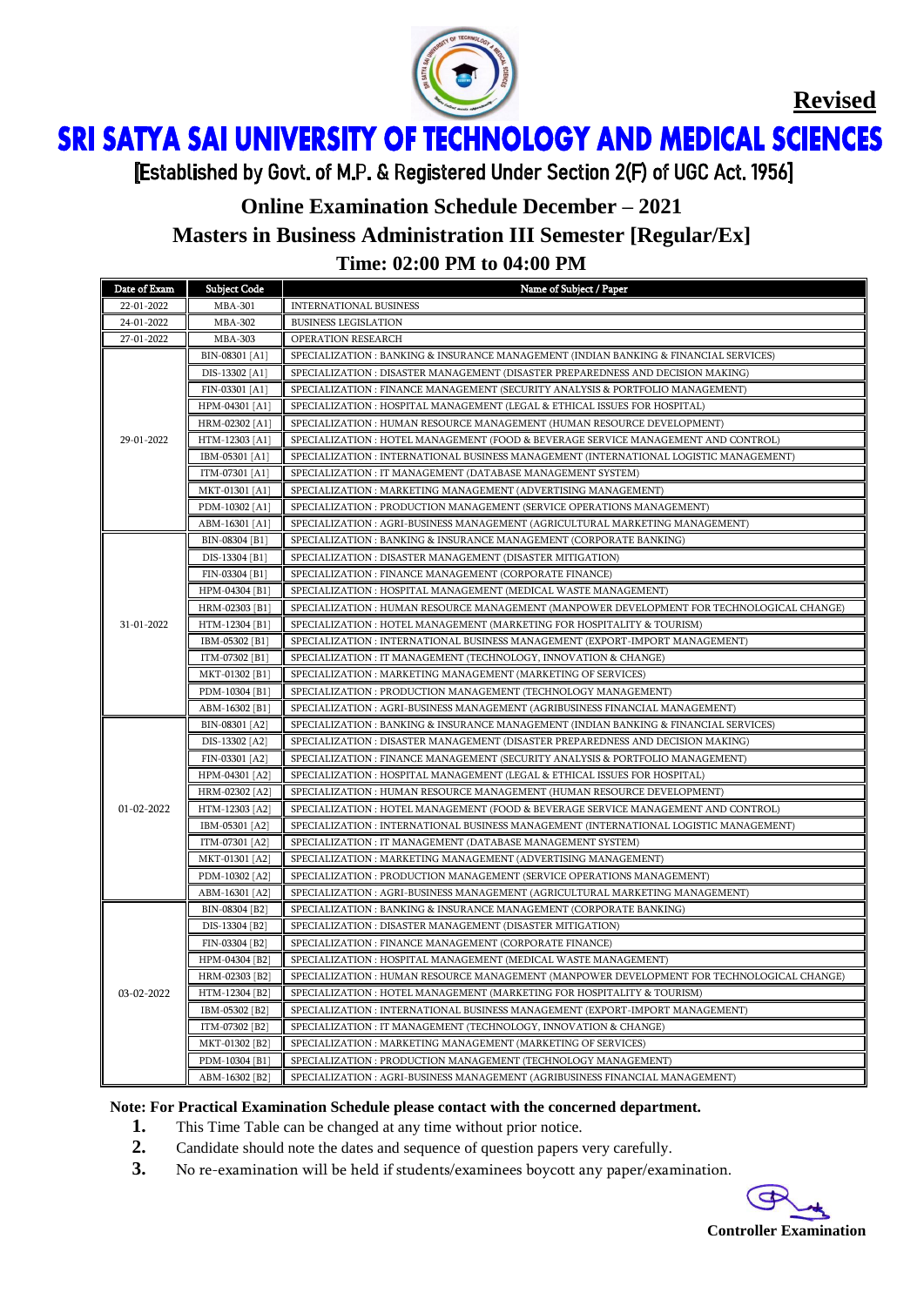

**Revised**

ì Ï

[Established by Govt. of M.P. & Registered Under Section 2(F) of UGC Act. 1956]

# **Online Examination Schedule December – 2021 Masters in Business Administration III Semester [Regular/Ex] Time: 02:00 PM to 04:00 PM**

| Date of Exam | <b>Subject Code</b> | Name of Subject / Paper                                                                    |  |  |
|--------------|---------------------|--------------------------------------------------------------------------------------------|--|--|
| 22-01-2022   | <b>MBA-301</b>      | <b>INTERNATIONAL BUSINESS</b>                                                              |  |  |
| 24-01-2022   | <b>MBA-302</b>      | <b>BUSINESS LEGISLATION</b>                                                                |  |  |
| 27-01-2022   | <b>MBA-303</b>      | OPERATION RESEARCH                                                                         |  |  |
| 29-01-2022   | BIN-08301 [A1]      | SPECIALIZATION : BANKING & INSURANCE MANAGEMENT (INDIAN BANKING & FINANCIAL SERVICES)      |  |  |
|              | DIS-13302 [A1]      | SPECIALIZATION : DISASTER MANAGEMENT (DISASTER PREPAREDNESS AND DECISION MAKING)           |  |  |
|              | FIN-03301 [A1]      | SPECIALIZATION : FINANCE MANAGEMENT (SECURITY ANALYSIS & PORTFOLIO MANAGEMENT)             |  |  |
|              | HPM-04301 [A1]      | SPECIALIZATION : HOSPITAL MANAGEMENT (LEGAL & ETHICAL ISSUES FOR HOSPITAL)                 |  |  |
|              | HRM-02302 [A1]      | SPECIALIZATION : HUMAN RESOURCE MANAGEMENT (HUMAN RESOURCE DEVELOPMENT)                    |  |  |
|              | HTM-12303 [A1]      | SPECIALIZATION : HOTEL MANAGEMENT (FOOD & BEVERAGE SERVICE MANAGEMENT AND CONTROL)         |  |  |
|              | IBM-05301 [A1]      | SPECIALIZATION : INTERNATIONAL BUSINESS MANAGEMENT (INTERNATIONAL LOGISTIC MANAGEMENT)     |  |  |
|              | ITM-07301 [A1]      | SPECIALIZATION : IT MANAGEMENT (DATABASE MANAGEMENT SYSTEM)                                |  |  |
|              | MKT-01301 [A1]      | SPECIALIZATION : MARKETING MANAGEMENT (ADVERTISING MANAGEMENT)                             |  |  |
|              | PDM-10302 [A1]      | SPECIALIZATION : PRODUCTION MANAGEMENT (SERVICE OPERATIONS MANAGEMENT)                     |  |  |
|              | ABM-16301 [A1]      | SPECIALIZATION : AGRI-BUSINESS MANAGEMENT (AGRICULTURAL MARKETING MANAGEMENT)              |  |  |
|              | BIN-08304 [B1]      | SPECIALIZATION : BANKING & INSURANCE MANAGEMENT (CORPORATE BANKING)                        |  |  |
|              | DIS-13304 [B1]      | SPECIALIZATION : DISASTER MANAGEMENT (DISASTER MITIGATION)                                 |  |  |
|              | FIN-03304 [B1]      | SPECIALIZATION : FINANCE MANAGEMENT (CORPORATE FINANCE)                                    |  |  |
|              | HPM-04304 [B1]      | SPECIALIZATION : HOSPITAL MANAGEMENT (MEDICAL WASTE MANAGEMENT)                            |  |  |
|              | HRM-02303 [B1]      | SPECIALIZATION : HUMAN RESOURCE MANAGEMENT (MANPOWER DEVELOPMENT FOR TECHNOLOGICAL CHANGE) |  |  |
| 31-01-2022   | HTM-12304 [B1]      | SPECIALIZATION : HOTEL MANAGEMENT (MARKETING FOR HOSPITALITY & TOURISM)                    |  |  |
|              | IBM-05302 [B1]      | SPECIALIZATION : INTERNATIONAL BUSINESS MANAGEMENT (EXPORT-IMPORT MANAGEMENT)              |  |  |
|              | ITM-07302 [B1]      | SPECIALIZATION : IT MANAGEMENT (TECHNOLOGY, INNOVATION & CHANGE)                           |  |  |
|              | MKT-01302 [B1]      | SPECIALIZATION : MARKETING MANAGEMENT (MARKETING OF SERVICES)                              |  |  |
|              | PDM-10304 [B1]      | SPECIALIZATION : PRODUCTION MANAGEMENT (TECHNOLOGY MANAGEMENT)                             |  |  |
|              | ABM-16302 [B1]      | SPECIALIZATION : AGRI-BUSINESS MANAGEMENT (AGRIBUSINESS FINANCIAL MANAGEMENT)              |  |  |
|              | BIN-08301 [A2]      | SPECIALIZATION : BANKING & INSURANCE MANAGEMENT (INDIAN BANKING & FINANCIAL SERVICES)      |  |  |
|              | DIS-13302 [A2]      | SPECIALIZATION : DISASTER MANAGEMENT (DISASTER PREPAREDNESS AND DECISION MAKING)           |  |  |
|              | FIN-03301 [A2]      | SPECIALIZATION : FINANCE MANAGEMENT (SECURITY ANALYSIS & PORTFOLIO MANAGEMENT)             |  |  |
|              | HPM-04301 [A2]      | SPECIALIZATION : HOSPITAL MANAGEMENT (LEGAL & ETHICAL ISSUES FOR HOSPITAL)                 |  |  |
| 01-02-2022   | HRM-02302 [A2]      | SPECIALIZATION : HUMAN RESOURCE MANAGEMENT (HUMAN RESOURCE DEVELOPMENT)                    |  |  |
|              | HTM-12303 [A2]      | SPECIALIZATION : HOTEL MANAGEMENT (FOOD & BEVERAGE SERVICE MANAGEMENT AND CONTROL)         |  |  |
|              | IBM-05301 [A2]      | SPECIALIZATION : INTERNATIONAL BUSINESS MANAGEMENT (INTERNATIONAL LOGISTIC MANAGEMENT)     |  |  |
|              | ITM-07301 [A2]      | SPECIALIZATION : IT MANAGEMENT (DATABASE MANAGEMENT SYSTEM)                                |  |  |
|              | MKT-01301 [A2]      | SPECIALIZATION : MARKETING MANAGEMENT (ADVERTISING MANAGEMENT)                             |  |  |
|              | PDM-10302 [A2]      | SPECIALIZATION : PRODUCTION MANAGEMENT (SERVICE OPERATIONS MANAGEMENT)                     |  |  |
|              | ABM-16301 [A2]      | SPECIALIZATION : AGRI-BUSINESS MANAGEMENT (AGRICULTURAL MARKETING MANAGEMENT)              |  |  |
|              | BIN-08304 [B2]      | SPECIALIZATION : BANKING & INSURANCE MANAGEMENT (CORPORATE BANKING)                        |  |  |
|              | DIS-13304 [B2]      | SPECIALIZATION : DISASTER MANAGEMENT (DISASTER MITIGATION)                                 |  |  |
|              | FIN-03304 [B2]      | SPECIALIZATION : FINANCE MANAGEMENT (CORPORATE FINANCE)                                    |  |  |
| 03-02-2022   | HPM-04304 [B2]      | SPECIALIZATION : HOSPITAL MANAGEMENT (MEDICAL WASTE MANAGEMENT)                            |  |  |
|              | HRM-02303 [B2]      | SPECIALIZATION : HUMAN RESOURCE MANAGEMENT (MANPOWER DEVELOPMENT FOR TECHNOLOGICAL CHANGE) |  |  |
|              | HTM-12304 [B2]      | SPECIALIZATION : HOTEL MANAGEMENT (MARKETING FOR HOSPITALITY & TOURISM)                    |  |  |
|              | IBM-05302 [B2]      | SPECIALIZATION : INTERNATIONAL BUSINESS MANAGEMENT (EXPORT-IMPORT MANAGEMENT)              |  |  |
|              | ITM-07302 [B2]      | SPECIALIZATION : IT MANAGEMENT (TECHNOLOGY, INNOVATION & CHANGE)                           |  |  |
|              | MKT-01302 [B2]      | SPECIALIZATION : MARKETING MANAGEMENT (MARKETING OF SERVICES)                              |  |  |
|              | PDM-10304 [B1]      | SPECIALIZATION : PRODUCTION MANAGEMENT (TECHNOLOGY MANAGEMENT)                             |  |  |
|              | ABM-16302 [B2]      | SPECIALIZATION : AGRI-BUSINESS MANAGEMENT (AGRIBUSINESS FINANCIAL MANAGEMENT)              |  |  |

#### **Note: For Practical Examination Schedule please contact with the concerned department.**

- **1.** This Time Table can be changed at any time without prior notice.
- **2.** Candidate should note the dates and sequence of question papers very carefully.
- **3.** No re-examination will be held if students/examinees boycott any paper/examination.